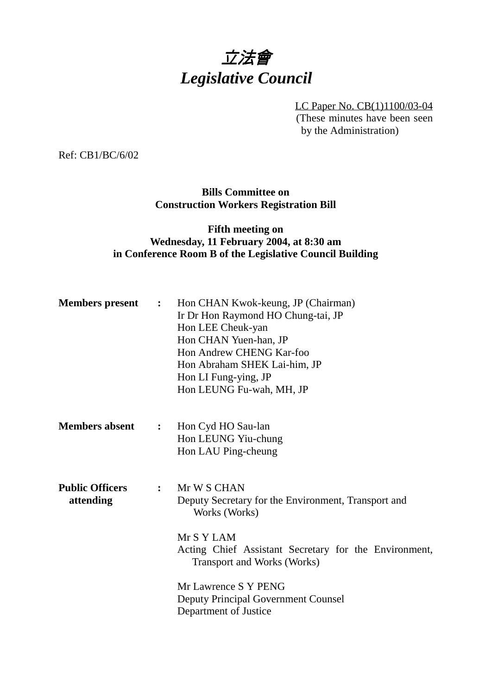# 立法會 *Legislative Council*

LC Paper No. CB(1)1100/03-04 (These minutes have been seen by the Administration)

Ref: CB1/BC/6/02

## **Bills Committee on Construction Workers Registration Bill**

# **Fifth meeting on Wednesday, 11 February 2004, at 8:30 am in Conference Room B of the Legislative Council Building**

| <b>Members present</b>              | $\ddot{\cdot}$ | Hon CHAN Kwok-keung, JP (Chairman)<br>Ir Dr Hon Raymond HO Chung-tai, JP<br>Hon LEE Cheuk-yan<br>Hon CHAN Yuen-han, JP<br>Hon Andrew CHENG Kar-foo<br>Hon Abraham SHEK Lai-him, JP<br>Hon LI Fung-ying, JP<br>Hon LEUNG Fu-wah, MH, JP |
|-------------------------------------|----------------|----------------------------------------------------------------------------------------------------------------------------------------------------------------------------------------------------------------------------------------|
| <b>Members absent</b>               | $\mathbf{L}$   | Hon Cyd HO Sau-lan<br>Hon LEUNG Yiu-chung<br>Hon LAU Ping-cheung                                                                                                                                                                       |
| <b>Public Officers</b><br>attending | $\mathbf{L}$   | Mr W S CHAN<br>Deputy Secretary for the Environment, Transport and<br>Works (Works)<br>Mr S Y LAM<br>Acting Chief Assistant Secretary for the Environment,<br><b>Transport and Works (Works)</b>                                       |
|                                     |                | Mr Lawrence S Y PENG<br><b>Deputy Principal Government Counsel</b><br>Department of Justice                                                                                                                                            |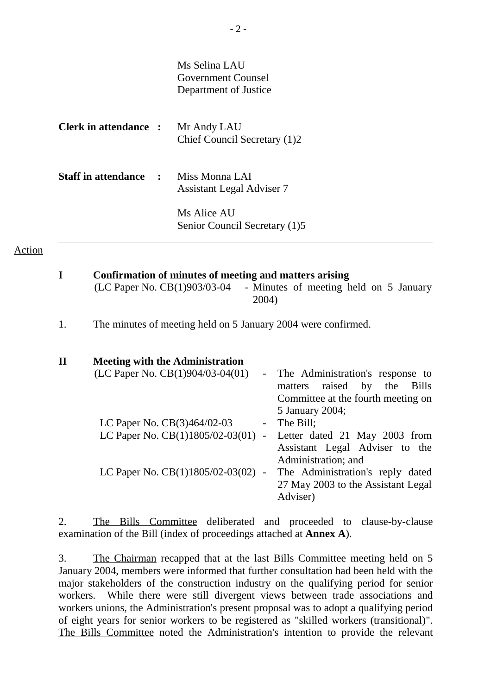|                                                           | Ms Selina LAU<br>Government Counsel<br>Department of Justice |
|-----------------------------------------------------------|--------------------------------------------------------------|
| <b>Clerk in attendance :</b>                              | Mr Andy LAU<br>Chief Council Secretary (1)2                  |
| <b>Staff in attendance</b><br>$\mathcal{L} = \mathcal{L}$ | Miss Monna LAI<br><b>Assistant Legal Adviser 7</b>           |
|                                                           | Ms Alice AU<br>Senior Council Secretary (1)5                 |

#### Action

 $\overline{a}$ 

| Confirmation of minutes of meeting and matters arising |                                                                                |  |  |  |
|--------------------------------------------------------|--------------------------------------------------------------------------------|--|--|--|
|                                                        | (LC Paper No. $CB(1)903/03-04$ - Minutes of meeting held on 5 January<br>2004) |  |  |  |

1. The minutes of meeting held on 5 January 2004 were confirmed.

| <b>Meeting with the Administration</b> |                 |                                    |
|----------------------------------------|-----------------|------------------------------------|
| (LC Paper No. $CB(1)904/03-04(01)$     | $\frac{1}{2}$ . | The Administration's response to   |
|                                        |                 | matters raised by the Bills        |
|                                        |                 | Committee at the fourth meeting on |
|                                        |                 | 5 January 2004;                    |
| LC Paper No. $CB(3)464/02-03$          |                 | - The Bill;                        |
| LC Paper No. $CB(1)1805/02-03(01)$ -   |                 | Letter dated 21 May 2003 from      |
|                                        |                 | Assistant Legal Adviser to the     |
|                                        |                 | Administration; and                |
| LC Paper No. $CB(1)1805/02-03(02)$ -   |                 | The Administration's reply dated   |
|                                        |                 | 27 May 2003 to the Assistant Legal |
|                                        |                 | Adviser)                           |

2. The Bills Committee deliberated and proceeded to clause-by-clause examination of the Bill (index of proceedings attached at **Annex A**).

3. The Chairman recapped that at the last Bills Committee meeting held on 5 January 2004, members were informed that further consultation had been held with the major stakeholders of the construction industry on the qualifying period for senior workers. While there were still divergent views between trade associations and workers unions, the Administration's present proposal was to adopt a qualifying period of eight years for senior workers to be registered as "skilled workers (transitional)". The Bills Committee noted the Administration's intention to provide the relevant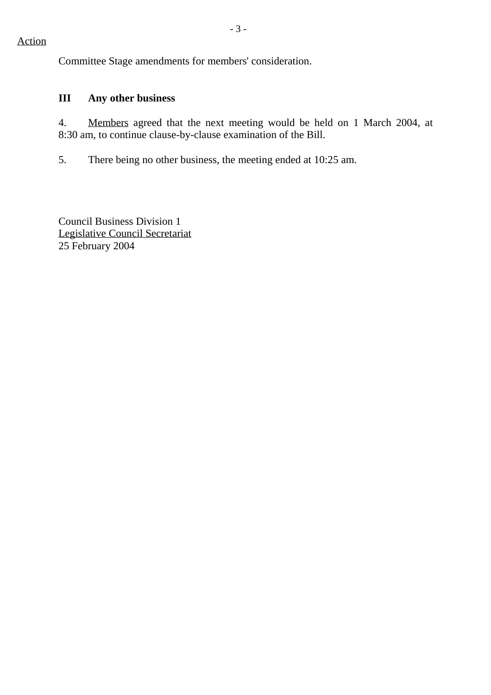Committee Stage amendments for members' consideration.

# **III Any other business**

4. Members agreed that the next meeting would be held on 1 March 2004, at 8:30 am, to continue clause-by-clause examination of the Bill.

5. There being no other business, the meeting ended at 10:25 am.

Council Business Division 1 Legislative Council Secretariat 25 February 2004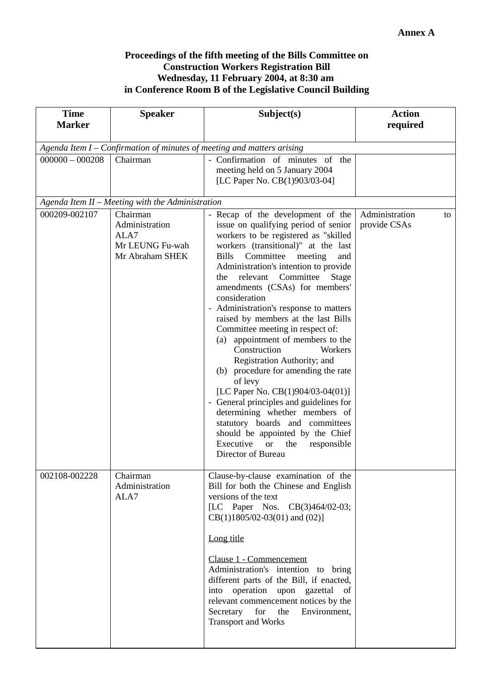### **Proceedings of the fifth meeting of the Bills Committee on Construction Workers Registration Bill Wednesday, 11 February 2004, at 8:30 am in Conference Room B of the Legislative Council Building**

| <b>Time</b><br><b>Speaker</b><br><b>Marker</b>                         |                                                                          | Subject(s)                                                                                                                                                                                                                                                                                                                                                                                                                                                                                                                                                                                                                                                                                                                                                                                                                                                                        | <b>Action</b><br>required            |  |  |
|------------------------------------------------------------------------|--------------------------------------------------------------------------|-----------------------------------------------------------------------------------------------------------------------------------------------------------------------------------------------------------------------------------------------------------------------------------------------------------------------------------------------------------------------------------------------------------------------------------------------------------------------------------------------------------------------------------------------------------------------------------------------------------------------------------------------------------------------------------------------------------------------------------------------------------------------------------------------------------------------------------------------------------------------------------|--------------------------------------|--|--|
| Agenda Item I – Confirmation of minutes of meeting and matters arising |                                                                          |                                                                                                                                                                                                                                                                                                                                                                                                                                                                                                                                                                                                                                                                                                                                                                                                                                                                                   |                                      |  |  |
| $000000 - 000208$<br>Chairman                                          |                                                                          | - Confirmation of minutes of the<br>meeting held on 5 January 2004<br>[LC Paper No. CB(1)903/03-04]                                                                                                                                                                                                                                                                                                                                                                                                                                                                                                                                                                                                                                                                                                                                                                               |                                      |  |  |
|                                                                        | Agenda Item II - Meeting with the Administration                         |                                                                                                                                                                                                                                                                                                                                                                                                                                                                                                                                                                                                                                                                                                                                                                                                                                                                                   |                                      |  |  |
| 000209-002107                                                          | Chairman<br>Administration<br>ALA7<br>Mr LEUNG Fu-wah<br>Mr Abraham SHEK | - Recap of the development of the<br>issue on qualifying period of senior<br>workers to be registered as "skilled<br>workers (transitional)" at the last<br>Committee<br><b>Bills</b><br>meeting<br>and<br>Administration's intention to provide<br>relevant Committee<br>Stage<br>the<br>amendments (CSAs) for members'<br>consideration<br>- Administration's response to matters<br>raised by members at the last Bills<br>Committee meeting in respect of:<br>appointment of members to the<br>(a)<br>Construction<br>Workers<br>Registration Authority; and<br>(b) procedure for amending the rate<br>of levy<br>[LC Paper No. CB(1)904/03-04(01)]<br>- General principles and guidelines for<br>determining whether members of<br>statutory boards and committees<br>should be appointed by the Chief<br>Executive<br>responsible<br><b>or</b><br>the<br>Director of Bureau | Administration<br>to<br>provide CSAs |  |  |
| 002108-002228                                                          | Chairman<br>Administration<br>ALA7                                       | Clause-by-clause examination of the<br>Bill for both the Chinese and English<br>versions of the text<br>[LC Paper Nos. $CB(3)464/02-03;$<br>$CB(1)1805/02-03(01)$ and $(02)$ ]<br>Long title<br>Clause 1 - Commencement<br>Administration's intention to bring<br>different parts of the Bill, if enacted,<br>into operation upon gazettal<br>of<br>relevant commencement notices by the<br>Secretary<br>for<br>Environment,<br>the<br><b>Transport and Works</b>                                                                                                                                                                                                                                                                                                                                                                                                                 |                                      |  |  |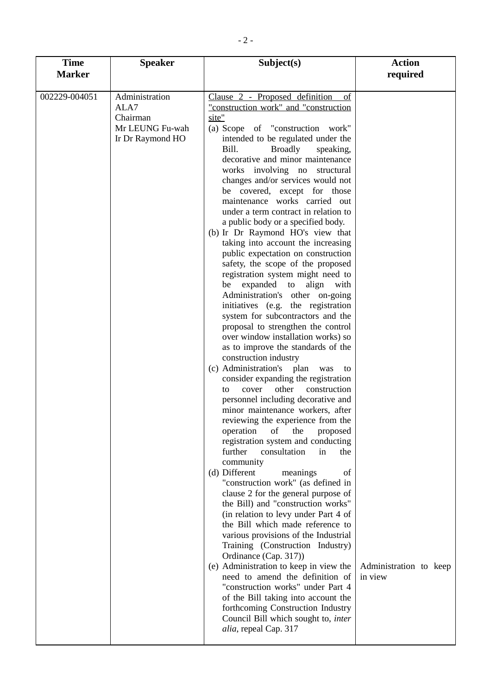| <b>Time</b>   | <b>Speaker</b><br>Subject(s)                                              |                                                                                                                                                                                                                                                                                                                                                                                                                                                                                                                                                                                                                                                                                                                                                                                                                                                                                                                                                                                                                                                                                                                                                                                                                                                                                                                                                                                                                                                                                                                                                                                                                                                                                                                                                                                                                                                                                                                                  | <b>Action</b>                     |
|---------------|---------------------------------------------------------------------------|----------------------------------------------------------------------------------------------------------------------------------------------------------------------------------------------------------------------------------------------------------------------------------------------------------------------------------------------------------------------------------------------------------------------------------------------------------------------------------------------------------------------------------------------------------------------------------------------------------------------------------------------------------------------------------------------------------------------------------------------------------------------------------------------------------------------------------------------------------------------------------------------------------------------------------------------------------------------------------------------------------------------------------------------------------------------------------------------------------------------------------------------------------------------------------------------------------------------------------------------------------------------------------------------------------------------------------------------------------------------------------------------------------------------------------------------------------------------------------------------------------------------------------------------------------------------------------------------------------------------------------------------------------------------------------------------------------------------------------------------------------------------------------------------------------------------------------------------------------------------------------------------------------------------------------|-----------------------------------|
| <b>Marker</b> |                                                                           |                                                                                                                                                                                                                                                                                                                                                                                                                                                                                                                                                                                                                                                                                                                                                                                                                                                                                                                                                                                                                                                                                                                                                                                                                                                                                                                                                                                                                                                                                                                                                                                                                                                                                                                                                                                                                                                                                                                                  | required                          |
| 002229-004051 | Administration<br>ALA7<br>Chairman<br>Mr LEUNG Fu-wah<br>Ir Dr Raymond HO | Clause 2 - Proposed definition<br>of<br>"construction work" and "construction<br>site"<br>(a) Scope of "construction work"<br>intended to be regulated under the<br><b>Broadly</b><br>Bill.<br>speaking,<br>decorative and minor maintenance<br>works involving no structural<br>changes and/or services would not<br>be covered, except for those<br>maintenance works carried out<br>under a term contract in relation to<br>a public body or a specified body.<br>(b) Ir Dr Raymond HO's view that<br>taking into account the increasing<br>public expectation on construction<br>safety, the scope of the proposed<br>registration system might need to<br>be expanded to align with<br>Administration's other on-going<br>initiatives (e.g. the registration<br>system for subcontractors and the<br>proposal to strengthen the control<br>over window installation works) so<br>as to improve the standards of the<br>construction industry<br>(c) Administration's plan<br>was<br>to<br>consider expanding the registration<br>other<br>construction<br>cover<br>to.<br>personnel including decorative and<br>minor maintenance workers, after<br>reviewing the experience from the<br>operation<br>proposed<br>of<br>the<br>registration system and conducting<br>further<br>consultation<br>in<br>the<br>community<br>(d) Different<br>meanings<br>of<br>"construction work" (as defined in<br>clause 2 for the general purpose of<br>the Bill) and "construction works"<br>(in relation to levy under Part 4 of<br>the Bill which made reference to<br>various provisions of the Industrial<br>Training (Construction Industry)<br>Ordinance (Cap. 317))<br>(e) Administration to keep in view the<br>need to amend the definition of<br>"construction works" under Part 4<br>of the Bill taking into account the<br>forthcoming Construction Industry<br>Council Bill which sought to, inter<br>alia, repeal Cap. 317 | Administration to keep<br>in view |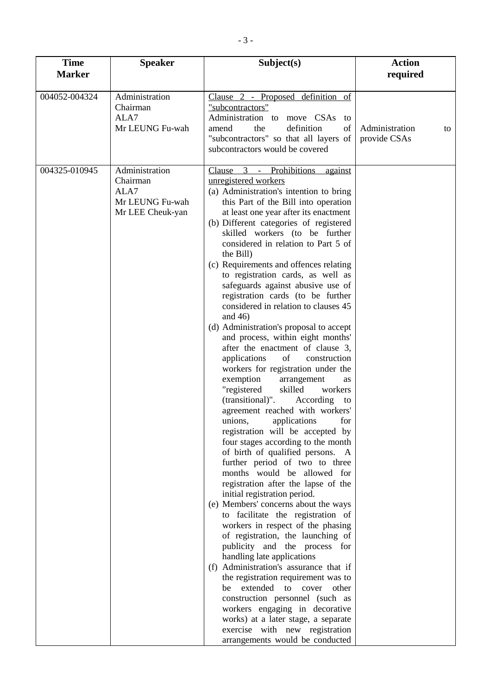| <b>Time</b>   | <b>Speaker</b>                                                            | Subject(s)                                                                                                                                                                                                                                                                                                                                                                                                                                                                                                                                                                                                                                                                                                                                                                                                                                                                                                                                                                                                                                                                                                                                                                                                                                                                                                                                                                                                                                                                                                                                                                                                                                                                                              |                                      |
|---------------|---------------------------------------------------------------------------|---------------------------------------------------------------------------------------------------------------------------------------------------------------------------------------------------------------------------------------------------------------------------------------------------------------------------------------------------------------------------------------------------------------------------------------------------------------------------------------------------------------------------------------------------------------------------------------------------------------------------------------------------------------------------------------------------------------------------------------------------------------------------------------------------------------------------------------------------------------------------------------------------------------------------------------------------------------------------------------------------------------------------------------------------------------------------------------------------------------------------------------------------------------------------------------------------------------------------------------------------------------------------------------------------------------------------------------------------------------------------------------------------------------------------------------------------------------------------------------------------------------------------------------------------------------------------------------------------------------------------------------------------------------------------------------------------------|--------------------------------------|
| <b>Marker</b> |                                                                           |                                                                                                                                                                                                                                                                                                                                                                                                                                                                                                                                                                                                                                                                                                                                                                                                                                                                                                                                                                                                                                                                                                                                                                                                                                                                                                                                                                                                                                                                                                                                                                                                                                                                                                         | required                             |
| 004052-004324 | Administration<br>Chairman<br>ALA7<br>Mr LEUNG Fu-wah                     | Clause 2 - Proposed definition of<br>"subcontractors"<br>Administration to move CSAs<br>to<br>the<br>definition<br>of<br>amend<br>"subcontractors" so that all layers of<br>subcontractors would be covered                                                                                                                                                                                                                                                                                                                                                                                                                                                                                                                                                                                                                                                                                                                                                                                                                                                                                                                                                                                                                                                                                                                                                                                                                                                                                                                                                                                                                                                                                             | Administration<br>to<br>provide CSAs |
| 004325-010945 | Administration<br>Chairman<br>ALA7<br>Mr LEUNG Fu-wah<br>Mr LEE Cheuk-yan | 3 - Prohibitions<br>Clause<br>against<br>unregistered workers<br>(a) Administration's intention to bring<br>this Part of the Bill into operation<br>at least one year after its enactment<br>(b) Different categories of registered<br>skilled workers (to be further<br>considered in relation to Part 5 of<br>the Bill)<br>(c) Requirements and offences relating<br>to registration cards, as well as<br>safeguards against abusive use of<br>registration cards (to be further<br>considered in relation to clauses 45<br>and $46$ )<br>(d) Administration's proposal to accept<br>and process, within eight months'<br>after the enactment of clause 3,<br>applications<br>of<br>construction<br>workers for registration under the<br>exemption<br>arrangement<br>as<br>"registered<br>skilled<br>workers<br>(transitional)".<br>According<br>to<br>agreement reached with workers'<br>applications<br>unions,<br>for<br>registration will be accepted by<br>four stages according to the month<br>of birth of qualified persons. A<br>further period of two to three<br>months would be allowed for<br>registration after the lapse of the<br>initial registration period.<br>(e) Members' concerns about the ways<br>to facilitate the registration of<br>workers in respect of the phasing<br>of registration, the launching of<br>publicity and the process for<br>handling late applications<br>(f) Administration's assurance that if<br>the registration requirement was to<br>be extended to cover other<br>construction personnel (such as<br>workers engaging in decorative<br>works) at a later stage, a separate<br>exercise with new registration<br>arrangements would be conducted |                                      |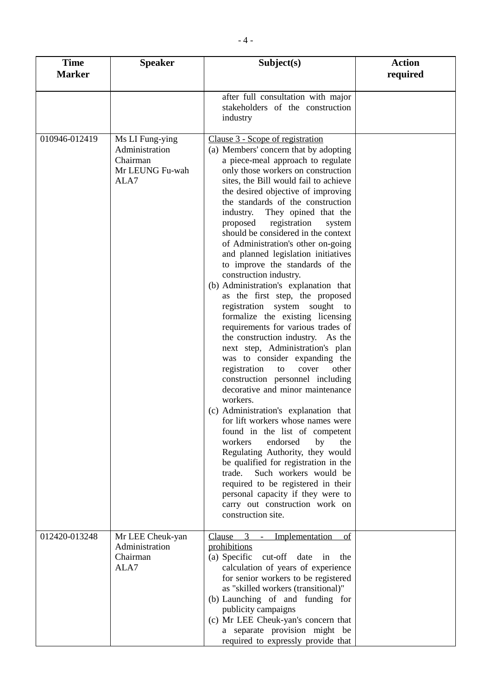| <b>Time</b><br><b>Marker</b> | <b>Speaker</b>                                                           | Subject(s)                                                                                                                                                                                                                                                                                                                                                                                                                                                                                                                                                                                                                                                                                                                                                                                                                                                                                                                                                                                                                                                                                                                                                                                                                                                                                                                                                                 |  |
|------------------------------|--------------------------------------------------------------------------|----------------------------------------------------------------------------------------------------------------------------------------------------------------------------------------------------------------------------------------------------------------------------------------------------------------------------------------------------------------------------------------------------------------------------------------------------------------------------------------------------------------------------------------------------------------------------------------------------------------------------------------------------------------------------------------------------------------------------------------------------------------------------------------------------------------------------------------------------------------------------------------------------------------------------------------------------------------------------------------------------------------------------------------------------------------------------------------------------------------------------------------------------------------------------------------------------------------------------------------------------------------------------------------------------------------------------------------------------------------------------|--|
|                              |                                                                          | after full consultation with major<br>stakeholders of the construction<br>industry                                                                                                                                                                                                                                                                                                                                                                                                                                                                                                                                                                                                                                                                                                                                                                                                                                                                                                                                                                                                                                                                                                                                                                                                                                                                                         |  |
| 010946-012419                | Ms LI Fung-ying<br>Administration<br>Chairman<br>Mr LEUNG Fu-wah<br>ALA7 | Clause 3 - Scope of registration<br>(a) Members' concern that by adopting<br>a piece-meal approach to regulate<br>only those workers on construction<br>sites, the Bill would fail to achieve<br>the desired objective of improving<br>the standards of the construction<br>They opined that the<br>industry.<br>proposed<br>registration<br>system<br>should be considered in the context<br>of Administration's other on-going<br>and planned legislation initiatives<br>to improve the standards of the<br>construction industry.<br>(b) Administration's explanation that<br>as the first step, the proposed<br>registration system sought<br>to<br>formalize the existing licensing<br>requirements for various trades of<br>the construction industry. As the<br>next step, Administration's plan<br>was to consider expanding the<br>registration<br>cover<br>to<br>other<br>construction personnel including<br>decorative and minor maintenance<br>workers.<br>(c) Administration's explanation that<br>for lift workers whose names were<br>found in the list of competent<br>workers<br>endorsed<br>by<br>the<br>Regulating Authority, they would<br>be qualified for registration in the<br>trade.<br>Such workers would be<br>required to be registered in their<br>personal capacity if they were to<br>carry out construction work on<br>construction site. |  |
| 012420-013248                | Mr LEE Cheuk-yan<br>Administration<br>Chairman<br>ALA7                   | 3<br>Clause<br>Implementation<br><u>of</u><br>prohibitions<br>(a) Specific<br>cut-off<br>date<br>in<br>the<br>calculation of years of experience<br>for senior workers to be registered<br>as "skilled workers (transitional)"<br>(b) Launching of and funding for<br>publicity campaigns<br>(c) Mr LEE Cheuk-yan's concern that<br>a separate provision might be<br>required to expressly provide that                                                                                                                                                                                                                                                                                                                                                                                                                                                                                                                                                                                                                                                                                                                                                                                                                                                                                                                                                                    |  |